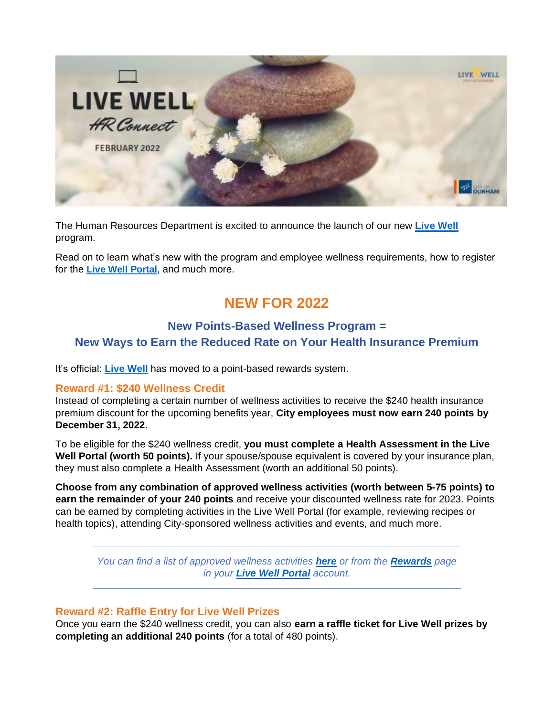

The Human Resources Department is excited to announce the launch of our new **[Live Well](https://www.webmdhealth.com/cityofdurham/)** program.

Read on to learn what's new with the program and employee wellness requirements, how to register for the **[Live Well Portal](https://www.webmdhealth.com/cityofdurham/)**, and much more.

# **NEW FOR 2022**

### **New Points-Based Wellness Program = New Ways to Earn the Reduced Rate on Your Health Insurance Premium**

It's official: **[Live Well](https://www.webmdhealth.com/cityofdurham/)** has moved to a point-based rewards system.

#### **Reward #1: \$240 Wellness Credit**

Instead of completing a certain number of wellness activities to receive the \$240 health insurance premium discount for the upcoming benefits year, **City employees must now earn 240 points by December 31, 2022.** 

To be eligible for the \$240 wellness credit, **you must complete a Health Assessment in the Live Well Portal (worth 50 points).** If your spouse/spouse equivalent is covered by your insurance plan, they must also complete a Health Assessment (worth an additional 50 points).

**Choose from any combination of approved wellness activities (worth between 5-75 points) to earn the remainder of your 240 points** and receive your discounted wellness rate for 2023. Points can be earned by completing activities in the Live Well Portal (for example, reviewing recipes or health topics), attending City-sponsored wellness activities and events, and much more.

*You can find a list of approved wellness activities [here](https://durhamnc.gov/DocumentCenter/View/42769/2022-live-well-points-flyer) or from the [Rewards](https://www.webmdhealth.com/Rewards.aspx) page in your [Live Well Portal](https://www.webmdhealth.com/cityofdurham/) account.*

#### **Reward #2: Raffle Entry for Live Well Prizes**

Once you earn the \$240 wellness credit, you can also **earn a raffle ticket for Live Well prizes by completing an additional 240 points** (for a total of 480 points).